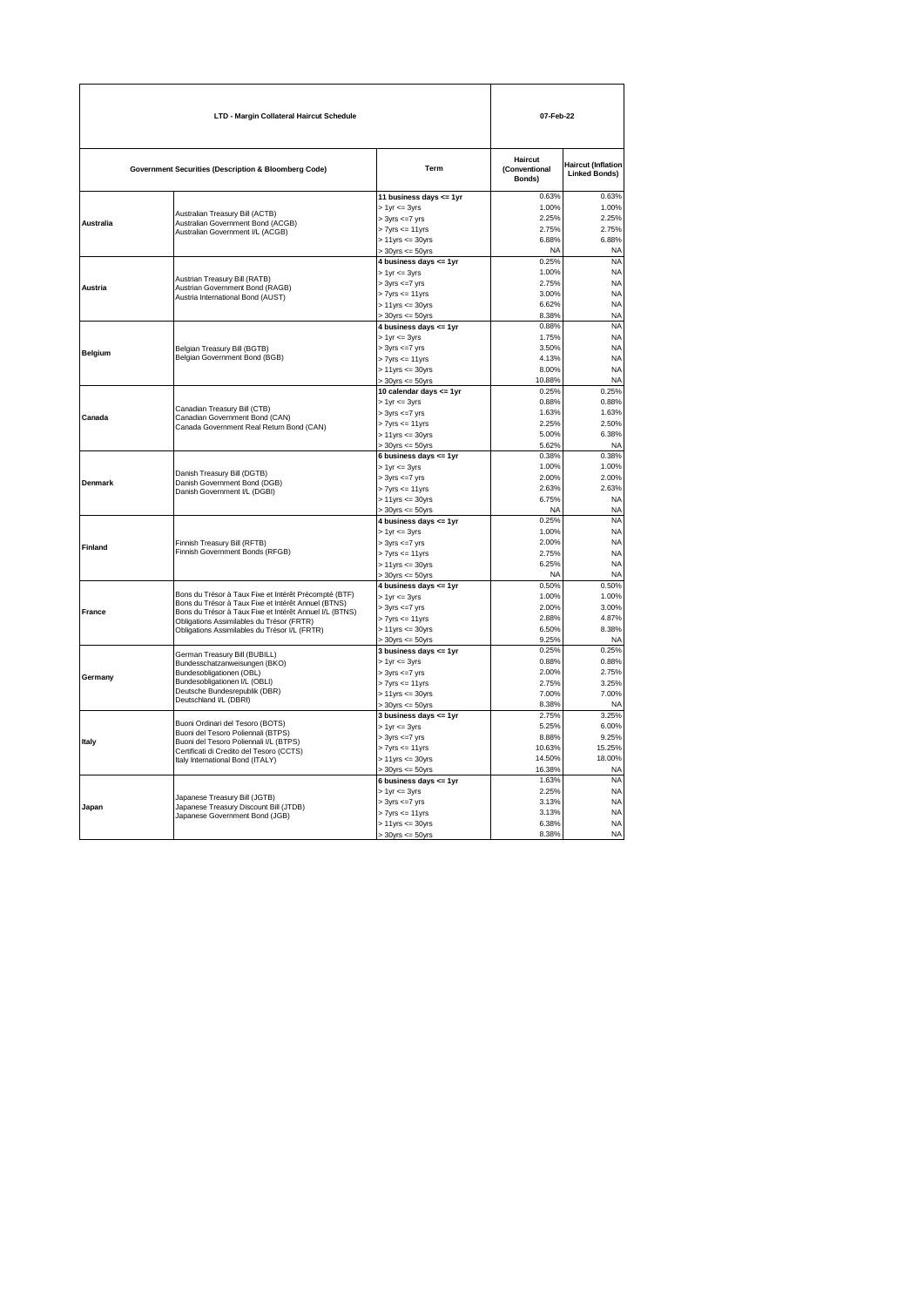| LTD - Margin Collateral Haircut Schedule |                                                                                                                                                       |                                                  | 07-Feb-22                          |                                                   |  |
|------------------------------------------|-------------------------------------------------------------------------------------------------------------------------------------------------------|--------------------------------------------------|------------------------------------|---------------------------------------------------|--|
|                                          | <b>Government Securities (Description &amp; Bloomberg Code)</b>                                                                                       | Term                                             | Haircut<br>(Conventional<br>Bonds) | <b>Haircut (Inflation</b><br><b>Linked Bonds)</b> |  |
|                                          |                                                                                                                                                       | 11 business days <= 1yr                          | 0.63%                              | 0.63%                                             |  |
|                                          | Australian Treasury Bill (ACTB)                                                                                                                       | $> 1$ yr $\leq 3$ yrs                            | 1.00%                              | 1.00%                                             |  |
| Australia                                | Australian Government Bond (ACGB)                                                                                                                     | $> 3yrs \le 7yrs$                                | 2.25%                              | 2.25%                                             |  |
|                                          | Australian Government I/L (ACGB)                                                                                                                      | $> 7yrs \le 11yrs$                               | 2.75%                              | 2.75%                                             |  |
|                                          |                                                                                                                                                       | $> 11$ yrs $<= 30$ yrs                           | 6.88%<br><b>NA</b>                 | 6.88%<br><b>NA</b>                                |  |
|                                          |                                                                                                                                                       | $> 30$ yrs <= $50$ yrs<br>4 business days <= 1yr | 0.25%                              | <b>NA</b>                                         |  |
|                                          |                                                                                                                                                       | $> 1$ yr $\leq$ 3yrs                             | 1.00%                              | <b>NA</b>                                         |  |
|                                          | Austrian Treasury Bill (RATB)                                                                                                                         | $> 3yrs \le 7yrs$                                | 2.75%                              | <b>NA</b>                                         |  |
| Austria                                  | Austrian Government Bond (RAGB)<br>Austria International Bond (AUST)                                                                                  | $> 7yrs \le 11yrs$                               | 3.00%                              | <b>NA</b>                                         |  |
|                                          |                                                                                                                                                       | $> 11$ yrs $\leq$ 30 yrs                         | 6.62%                              | <b>NA</b>                                         |  |
|                                          |                                                                                                                                                       | $> 30$ yrs <= $50$ yrs                           | 8.38%                              | <b>NA</b>                                         |  |
|                                          |                                                                                                                                                       | 4 business days <= 1yr                           | 0.88%                              | <b>NA</b>                                         |  |
|                                          |                                                                                                                                                       | $> 1$ yr $<= 3$ yrs                              | 1.75%                              | <b>NA</b>                                         |  |
| Belgium                                  | Belgian Treasury Bill (BGTB)                                                                                                                          | $> 3yrs \leq 7yrs$                               | 3.50%                              | <b>NA</b>                                         |  |
|                                          | Belgian Government Bond (BGB)                                                                                                                         | $> 7yrs \le 11yrs$                               | 4.13%                              | <b>NA</b>                                         |  |
|                                          |                                                                                                                                                       | $> 11$ yrs $<= 30$ yrs<br>$>30$ yrs $<=50$ yrs   | 8.00%<br>10.88%                    | <b>NA</b><br><b>NA</b>                            |  |
|                                          |                                                                                                                                                       | 10 calendar days <= 1yr                          | 0.25%                              | 0.25%                                             |  |
|                                          | Canadian Treasury Bill (CTB)<br>Canadian Government Bond (CAN)<br>Canada Government Real Return Bond (CAN)                                            | $> 1$ yr $<= 3$ yrs                              | 0.88%                              | 0.88%                                             |  |
|                                          |                                                                                                                                                       | $> 3yrs \leq -7yrs$                              | 1.63%                              | 1.63%                                             |  |
| Canada                                   |                                                                                                                                                       | $> 7yrs \le 11yrs$                               | 2.25%                              | 2.50%                                             |  |
|                                          |                                                                                                                                                       | $> 11$ yrs $\leq 30$ yrs                         | 5.00%                              | 6.38%                                             |  |
|                                          |                                                                                                                                                       | $-30$ yrs $\leq 50$ yrs                          | 5.62%                              | <b>NA</b>                                         |  |
|                                          |                                                                                                                                                       | 6 business days $\leq$ 1yr                       | 0.38%                              | 0.38%                                             |  |
|                                          | Danish Treasury Bill (DGTB)                                                                                                                           | $> 1$ yr $= 3$ yrs                               | 1.00%                              | 1.00%                                             |  |
| Denmark                                  | Danish Government Bond (DGB)<br>Danish Government I/L (DGBI)                                                                                          | $> 3yrs \leq 7yrs$                               | 2.00%                              | 2.00%                                             |  |
|                                          |                                                                                                                                                       | $> 7$ yrs $\leq 11$ yrs                          | 2.63%                              | 2.63%                                             |  |
|                                          |                                                                                                                                                       | $> 11$ yrs $<= 30$ yrs<br>$> 30$ yrs <= $50$ yrs | 6.75%<br>N <sub>A</sub>            | <b>NA</b><br><b>NA</b>                            |  |
|                                          |                                                                                                                                                       | 4 business days <= 1yr                           | 0.25%                              | <b>NA</b>                                         |  |
|                                          |                                                                                                                                                       | $> 1$ yr $\leq 3$ yrs                            | 1.00%                              | <b>NA</b>                                         |  |
|                                          | Finnish Treasury Bill (RFTB)                                                                                                                          | $> 3yrs \le 7yrs$                                | 2.00%                              | <b>NA</b>                                         |  |
| Finland                                  | Finnish Government Bonds (RFGB)                                                                                                                       | $> 7yrs \le 11yrs$                               | 2.75%                              | <b>NA</b>                                         |  |
|                                          |                                                                                                                                                       | $> 11$ yrs <= 30yrs                              | 6.25%                              | <b>NA</b>                                         |  |
|                                          |                                                                                                                                                       | $> 30$ yrs <= $50$ yrs                           | <b>NA</b>                          | <b>NA</b>                                         |  |
|                                          | Bons du Trésor à Taux Fixe et Intérêt Précompté (BTF)                                                                                                 | 4 business days <= 1yr                           | 0.50%                              | 0.50%                                             |  |
|                                          | Bons du Trésor à Taux Fixe et Intérêt Annuel (BTNS)                                                                                                   | > 1yr <= 3yrs                                    | 1.00%                              | 1.00%                                             |  |
| France                                   | Bons du Trésor à Taux Fixe et Intérêt Annuel I/L (BTNS)<br>Obligations Assimilables du Trésor (FRTR)<br>Obligations Assimilables du Trésor I/L (FRTR) | $> 3yrs \leq 7yrs$<br>$> 7yrs \le 11yrs$         | 2.00%<br>2.88%                     | 3.00%<br>4.87%                                    |  |
|                                          |                                                                                                                                                       | $> 11$ yrs $<= 30$ yrs                           | 6.50%                              | 8.38%                                             |  |
|                                          |                                                                                                                                                       | $>$ 30yrs $\leq$ 50yrs                           | 9.25%                              | <b>NA</b>                                         |  |
|                                          |                                                                                                                                                       | 3 business days $\leq$ 1yr                       | 0.25%                              | 0.25%                                             |  |
|                                          | German Treasury Bill (BUBILL)<br>Bundesschatzanweisungen (BKO)                                                                                        | $> 1$ yr $\leq$ 3yrs                             | 0.88%                              | 0.88%                                             |  |
| Germany                                  | Bundesobligationen (OBL)                                                                                                                              | $> 3yrs \leq 7yrs$                               | 2.00%                              | 2.75%                                             |  |
|                                          | Bundesobligationen I/L (OBLI)<br>Deutsche Bundesrepublik (DBR)<br>Deutschland I/L (DBRI)                                                              | $> 7yrs \le 11yrs$                               | 2.75%                              | 3.25%                                             |  |
|                                          |                                                                                                                                                       | $> 11$ yrs <= 30yrs                              | 7.00%                              | 7.00%                                             |  |
|                                          |                                                                                                                                                       | $>$ 30yrs $\leq$ 50yrs                           | 8.38%                              | <b>NA</b>                                         |  |
|                                          | Buoni Ordinari del Tesoro (BOTS)                                                                                                                      | 3 business days <= 1yr<br>$> 1$ yr $<= 3$ yrs    | 2.75%<br>5.25%                     | 3.25%<br>6.00%                                    |  |
|                                          | Buoni del Tesoro Poliennali (BTPS)                                                                                                                    | $> 3yrs \leq 7yrs$                               | 8.88%                              | 9.25%                                             |  |
| Italy                                    | Buoni del Tesoro Poliennali I/L (BTPS)                                                                                                                | $> 7yrs \le 11yrs$                               | 10.63%                             | 15.25%                                            |  |
|                                          | Certificati di Credito del Tesoro (CCTS)<br>Italy International Bond (ITALY)                                                                          | $> 11$ yrs $<= 30$ yrs                           | 14.50%                             | 18.00%                                            |  |
|                                          |                                                                                                                                                       | $-30yrs \leq 50yrs$                              | 16.38%                             | <b>NA</b>                                         |  |
|                                          |                                                                                                                                                       | 6 business days $\leq$ 1yr                       | 1.63%                              | <b>NA</b>                                         |  |
|                                          |                                                                                                                                                       | $> 1$ yr $<= 3$ yrs                              | 2.25%                              | <b>NA</b>                                         |  |
| Japan                                    | Japanese Treasury Bill (JGTB)<br>Japanese Treasury Discount Bill (JTDB)<br>Japanese Government Bond (JGB)                                             | $> 3yrs \le 7yrs$                                | 3.13%                              | <b>NA</b>                                         |  |
|                                          |                                                                                                                                                       | $> 7$ yrs $\leq 11$ yrs                          | 3.13%                              | <b>NA</b>                                         |  |
|                                          |                                                                                                                                                       | $> 11$ yrs $<= 30$ yrs                           | 6.38%                              | <b>NA</b>                                         |  |
|                                          |                                                                                                                                                       | $> 30$ yrs <= $50$ yrs                           | 8.38%                              | <b>NA</b>                                         |  |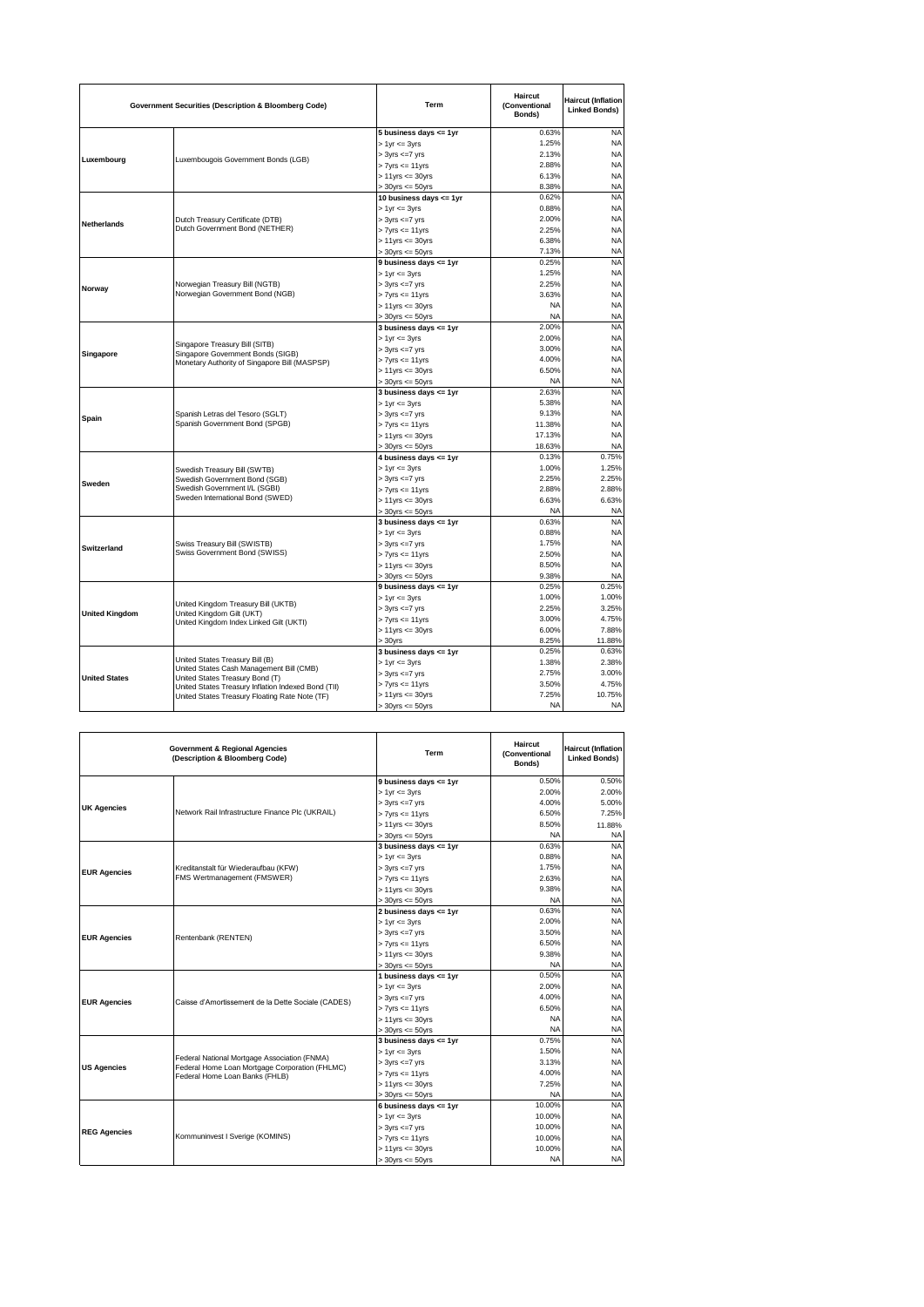| <b>Government Securities (Description &amp; Bloomberg Code)</b> |                                                                                                                                                                                      | Term                       | <b>Haircut</b><br>(Conventional<br>Bonds) | <b>Haircut (Inflation</b><br><b>Linked Bonds)</b> |  |
|-----------------------------------------------------------------|--------------------------------------------------------------------------------------------------------------------------------------------------------------------------------------|----------------------------|-------------------------------------------|---------------------------------------------------|--|
|                                                                 |                                                                                                                                                                                      | 5 business days <= 1yr     | 0.63%                                     | <b>NA</b>                                         |  |
|                                                                 |                                                                                                                                                                                      | $> 1$ yr $<= 3$ yrs        | 1.25%                                     | <b>NA</b>                                         |  |
|                                                                 |                                                                                                                                                                                      | $> 3yrs \leq 7yrs$         | 2.13%                                     | <b>NA</b>                                         |  |
| Luxembourg                                                      | Luxembougois Government Bonds (LGB)                                                                                                                                                  | $> 7$ yrs $\leq 11$ yrs    | 2.88%                                     | <b>NA</b>                                         |  |
|                                                                 |                                                                                                                                                                                      | $> 11$ yrs $<= 30$ yrs     | 6.13%                                     | <b>NA</b>                                         |  |
|                                                                 |                                                                                                                                                                                      | $> 30$ yrs <= $50$ yrs     | 8.38%                                     | <b>NA</b>                                         |  |
|                                                                 |                                                                                                                                                                                      | 10 business days <= 1yr    | 0.62%                                     | <b>NA</b>                                         |  |
|                                                                 |                                                                                                                                                                                      | $> 1$ yr $= 3$ yrs         | 0.88%                                     | <b>NA</b>                                         |  |
|                                                                 | Dutch Treasury Certificate (DTB)                                                                                                                                                     | $> 3yrs \le 7yrs$          | 2.00%                                     | <b>NA</b>                                         |  |
| Netherlands                                                     | Dutch Government Bond (NETHER)                                                                                                                                                       | $> 7$ yrs $\leq 11$ yrs    | 2.25%                                     | <b>NA</b>                                         |  |
|                                                                 |                                                                                                                                                                                      | $> 11$ yrs $\leq$ 30 yrs   | 6.38%                                     | <b>NA</b>                                         |  |
|                                                                 |                                                                                                                                                                                      | $> 30$ yrs $\leq 50$ yrs   | 7.13%                                     | <b>NA</b>                                         |  |
|                                                                 |                                                                                                                                                                                      | 9 business days <= 1yr     | 0.25%                                     | <b>NA</b>                                         |  |
|                                                                 |                                                                                                                                                                                      | $> 1$ yr $\leq 3$ yrs      | 1.25%                                     | <b>NA</b>                                         |  |
|                                                                 | Norwegian Treasury Bill (NGTB)                                                                                                                                                       | $> 3yrs \le 7yrs$          | 2.25%                                     | <b>NA</b>                                         |  |
| Norway                                                          | Norwegian Government Bond (NGB)                                                                                                                                                      | $> 7yrs \le 11yrs$         | 3.63%                                     | <b>NA</b>                                         |  |
|                                                                 |                                                                                                                                                                                      | $> 11$ yrs $<= 30$ yrs     | <b>NA</b>                                 | <b>NA</b>                                         |  |
|                                                                 |                                                                                                                                                                                      | $>$ 30yrs $\leq$ 50yrs     | <b>NA</b>                                 | <b>NA</b>                                         |  |
|                                                                 |                                                                                                                                                                                      | 3 business days <= 1yr     | 2.00%                                     | <b>NA</b>                                         |  |
|                                                                 |                                                                                                                                                                                      | $> 1$ yr $<= 3$ yrs        | 2.00%                                     | <b>NA</b>                                         |  |
|                                                                 | Singapore Treasury Bill (SITB)                                                                                                                                                       |                            | 3.00%                                     | <b>NA</b>                                         |  |
| Singapore                                                       | Singapore Government Bonds (SIGB)                                                                                                                                                    | $> 3yrs \le 7yrs$          | 4.00%                                     |                                                   |  |
|                                                                 | Monetary Authority of Singapore Bill (MASPSP)                                                                                                                                        | $> 7$ yrs $\leq 11$ yrs    |                                           | <b>NA</b><br><b>NA</b>                            |  |
|                                                                 |                                                                                                                                                                                      | $> 11$ yrs $\leq$ 30 yrs   | 6.50%                                     |                                                   |  |
|                                                                 |                                                                                                                                                                                      | $> 30$ yrs $\leq 50$ yrs   | <b>NA</b>                                 | <b>NA</b>                                         |  |
|                                                                 |                                                                                                                                                                                      | 3 business days $\leq$ 1yr | 2.63%                                     | <b>NA</b>                                         |  |
|                                                                 |                                                                                                                                                                                      | $> 1$ yr $<= 3$ yrs        | 5.38%                                     | <b>NA</b>                                         |  |
| Spain                                                           | Spanish Letras del Tesoro (SGLT)                                                                                                                                                     | $> 3yrs \leq 7yrs$         | 9.13%                                     | <b>NA</b>                                         |  |
|                                                                 | Spanish Government Bond (SPGB)                                                                                                                                                       | $> 7$ yrs $\leq 11$ yrs    | 11.38%                                    | <b>NA</b>                                         |  |
|                                                                 |                                                                                                                                                                                      | $> 11$ yrs $\leq$ 30 yrs   | 17.13%                                    | <b>NA</b>                                         |  |
|                                                                 |                                                                                                                                                                                      | $>$ 30yrs $\leq$ 50yrs     | 18.63%                                    | <b>NA</b>                                         |  |
|                                                                 | Swedish Treasury Bill (SWTB)<br>Swedish Government Bond (SGB)<br>Swedish Government I/L (SGBI)<br>Sweden International Bond (SWED)                                                   | 4 business days <= 1yr     | 0.13%                                     | 0.75%                                             |  |
|                                                                 |                                                                                                                                                                                      | $> 1$ yr $= 3$ yrs         | 1.00%                                     | 1.25%                                             |  |
| Sweden                                                          |                                                                                                                                                                                      | $> 3yrs \le 7yrs$          | 2.25%                                     | 2.25%                                             |  |
|                                                                 |                                                                                                                                                                                      | $> 7yrs \le 11yrs$         | 2.88%                                     | 2.88%                                             |  |
|                                                                 |                                                                                                                                                                                      | $> 11$ yrs $<= 30$ yrs     | 6.63%                                     | 6.63%                                             |  |
|                                                                 |                                                                                                                                                                                      | $> 30$ yrs $\leq 50$ yrs   | <b>NA</b>                                 | <b>NA</b>                                         |  |
|                                                                 |                                                                                                                                                                                      | 3 business days $\leq$ 1yr | 0.63%                                     | <b>NA</b>                                         |  |
|                                                                 | Swiss Treasury Bill (SWISTB)<br>Swiss Government Bond (SWISS)                                                                                                                        | $> 1$ yr $\leq$ 3yrs       | 0.88%                                     | <b>NA</b>                                         |  |
| Switzerland                                                     |                                                                                                                                                                                      | $> 3yrs \le 7yrs$          | 1.75%                                     | <b>NA</b>                                         |  |
|                                                                 |                                                                                                                                                                                      | $> 7$ yrs $\leq 11$ yrs    | 2.50%                                     | <b>NA</b>                                         |  |
|                                                                 |                                                                                                                                                                                      | $> 11$ yrs $<= 30$ yrs     | 8.50%                                     | <b>NA</b>                                         |  |
|                                                                 |                                                                                                                                                                                      | $> 30$ yrs $\leq 50$ yrs   | 9.38%                                     | <b>NA</b>                                         |  |
|                                                                 |                                                                                                                                                                                      | 9 business days <= 1yr     | 0.25%                                     | 0.25%                                             |  |
|                                                                 | United Kingdom Treasury Bill (UKTB)<br>United Kingdom Gilt (UKT)<br>United Kingdom Index Linked Gilt (UKTI)                                                                          | $> 1$ yr $\leq$ 3yrs       | 1.00%                                     | 1.00%                                             |  |
| <b>United Kingdom</b>                                           |                                                                                                                                                                                      | $> 3yrs \le 7yrs$          | 2.25%                                     | 3.25%                                             |  |
|                                                                 |                                                                                                                                                                                      | $> 7$ yrs $\leq 11$ yrs    | 3.00%                                     | 4.75%                                             |  |
|                                                                 |                                                                                                                                                                                      | $> 11$ yrs $\leq$ 30 yrs   | 6.00%                                     | 7.88%                                             |  |
|                                                                 |                                                                                                                                                                                      | $>30$ yrs                  | 8.25%                                     | 11.88%                                            |  |
|                                                                 |                                                                                                                                                                                      | 3 business days $\leq$ 1yr | 0.25%                                     | 0.63%                                             |  |
|                                                                 | United States Treasury Bill (B)                                                                                                                                                      | $> 1$ yr $<= 3$ yrs        | 1.38%                                     | 2.38%                                             |  |
| <b>United States</b>                                            | United States Cash Management Bill (CMB)<br>United States Treasury Bond (T)<br>United States Treasury Inflation Indexed Bond (TII)<br>United States Treasury Floating Rate Note (TF) | $> 3yrs \leq 7yrs$         | 2.75%                                     | 3.00%                                             |  |
|                                                                 |                                                                                                                                                                                      | $> 7$ yrs $\leq 11$ yrs    | 3.50%                                     | 4.75%                                             |  |
|                                                                 |                                                                                                                                                                                      | $> 11$ yrs $<= 30$ yrs     | 7.25%                                     | 10.75%                                            |  |
|                                                                 |                                                                                                                                                                                      | $>$ 30yrs $\lt=$ 50yrs     | <b>NA</b>                                 | <b>NA</b>                                         |  |

|                     | <b>Government &amp; Regional Agencies</b><br>(Description & Bloomberg Code)                                                      | Term                        | Haircut<br>(Conventional<br>Bonds) | <b>Haircut (Inflation</b><br><b>Linked Bonds)</b> |
|---------------------|----------------------------------------------------------------------------------------------------------------------------------|-----------------------------|------------------------------------|---------------------------------------------------|
|                     |                                                                                                                                  | 9 business days $\leq 1$ yr | 0.50%                              | 0.50%                                             |
|                     |                                                                                                                                  | $> 1$ yr $\leq 3$ yrs       | 2.00%                              | 2.00%                                             |
| <b>UK Agencies</b>  |                                                                                                                                  | $> 3yrs \le 7yrs$           | 4.00%                              | 5.00%                                             |
|                     | Network Rail Infrastructure Finance Plc (UKRAIL)                                                                                 | $> 7yrs \le 11yrs$          | 6.50%                              | 7.25%                                             |
|                     |                                                                                                                                  | $> 11$ yrs $\leq$ 30 yrs    | 8.50%                              | 11.88%                                            |
|                     |                                                                                                                                  | $>$ 30yrs $\leq$ 50yrs      | <b>NA</b>                          | <b>NA</b>                                         |
|                     |                                                                                                                                  | 3 business days $\leq 1$ yr | 0.63%                              | <b>NA</b>                                         |
|                     |                                                                                                                                  | $> 1$ yr $\leq 3$ yrs       | 0.88%                              | <b>NA</b>                                         |
| <b>EUR Agencies</b> | Kreditanstalt für Wiederaufbau (KFW)                                                                                             | $> 3yrs \leq 7yrs$          | 1.75%                              | <b>NA</b>                                         |
|                     | FMS Wertmanagement (FMSWER)                                                                                                      | $> 7yrs \le 11yrs$          | 2.63%                              | <b>NA</b>                                         |
|                     |                                                                                                                                  | $> 11$ yrs $<= 30$ yrs      | 9.38%                              | <b>NA</b>                                         |
|                     |                                                                                                                                  | $> 30$ yrs $\leq 50$ yrs    | <b>NA</b>                          | <b>NA</b>                                         |
|                     | Rentenbank (RENTEN)                                                                                                              | 2 business days $\leq 1$ yr | 0.63%                              | <b>NA</b>                                         |
|                     |                                                                                                                                  | $> 1$ yr $\leq 3$ yrs       | 2.00%                              | <b>NA</b>                                         |
| <b>EUR Agencies</b> |                                                                                                                                  | $> 3yrs \le 7yrs$           | 3.50%                              | <b>NA</b>                                         |
|                     |                                                                                                                                  | $> 7yrs \le 11yrs$          | 6.50%                              | <b>NA</b>                                         |
|                     |                                                                                                                                  | $> 11$ yrs $<= 30$ yrs      | 9.38%                              | <b>NA</b>                                         |
|                     |                                                                                                                                  | $> 30$ yrs $\leq 50$ yrs    | <b>NA</b>                          | <b>NA</b>                                         |
|                     |                                                                                                                                  | 1 business days $\leq$ 1yr  | 0.50%                              | <b>NA</b>                                         |
|                     |                                                                                                                                  | $> 1$ yr $\leq 3$ yrs       | 2.00%                              | <b>NA</b>                                         |
| <b>EUR Agencies</b> |                                                                                                                                  | $> 3yrs \leq 7yrs$          | 4.00%                              | <b>NA</b>                                         |
|                     | Caisse d'Amortissement de la Dette Sociale (CADES)                                                                               | $> 7yrs \le 11yrs$          | 6.50%                              | <b>NA</b>                                         |
|                     |                                                                                                                                  | $> 11$ yrs $<= 30$ yrs      | <b>NA</b>                          | <b>NA</b>                                         |
|                     |                                                                                                                                  | $> 30$ yrs $\leq 50$ yrs    | <b>NA</b>                          | <b>NA</b>                                         |
|                     | Federal National Mortgage Association (FNMA)<br>Federal Home Loan Mortgage Corporation (FHLMC)<br>Federal Home Loan Banks (FHLB) | 3 business days $\leq 1$ yr | 0.75%                              | <b>NA</b>                                         |
|                     |                                                                                                                                  | $> 1$ yr $\leq 3$ yrs       | 1.50%                              | <b>NA</b>                                         |
| <b>US Agencies</b>  |                                                                                                                                  | $> 3yrs \leq 7yrs$          | 3.13%                              | <b>NA</b>                                         |
|                     |                                                                                                                                  | $> 7yrs \le 11yrs$          | 4.00%                              | <b>NA</b>                                         |
|                     |                                                                                                                                  | $> 11$ yrs $\leq$ 30 yrs    | 7.25%                              | <b>NA</b>                                         |
|                     |                                                                                                                                  | $> 30$ yrs $<= 50$ yrs      | <b>NA</b>                          | <b>NA</b>                                         |
|                     |                                                                                                                                  | 6 business days $\leq$ 1yr  | 10.00%                             | <b>NA</b>                                         |
|                     |                                                                                                                                  | $> 1$ yr $\leq 3$ yrs       | 10.00%                             | <b>NA</b>                                         |
| <b>REG Agencies</b> | Kommuninvest I Sverige (KOMINS)                                                                                                  | $> 3yrs \leq 7yrs$          | 10.00%                             | <b>NA</b>                                         |
|                     |                                                                                                                                  | $> 7yrs \le 11yrs$          | 10.00%                             | <b>NA</b>                                         |
|                     |                                                                                                                                  | $> 11$ yrs $<= 30$ yrs      | 10.00%                             | <b>NA</b>                                         |
|                     |                                                                                                                                  | $> 30$ yrs $\leq 50$ yrs    | <b>NA</b>                          | <b>NA</b>                                         |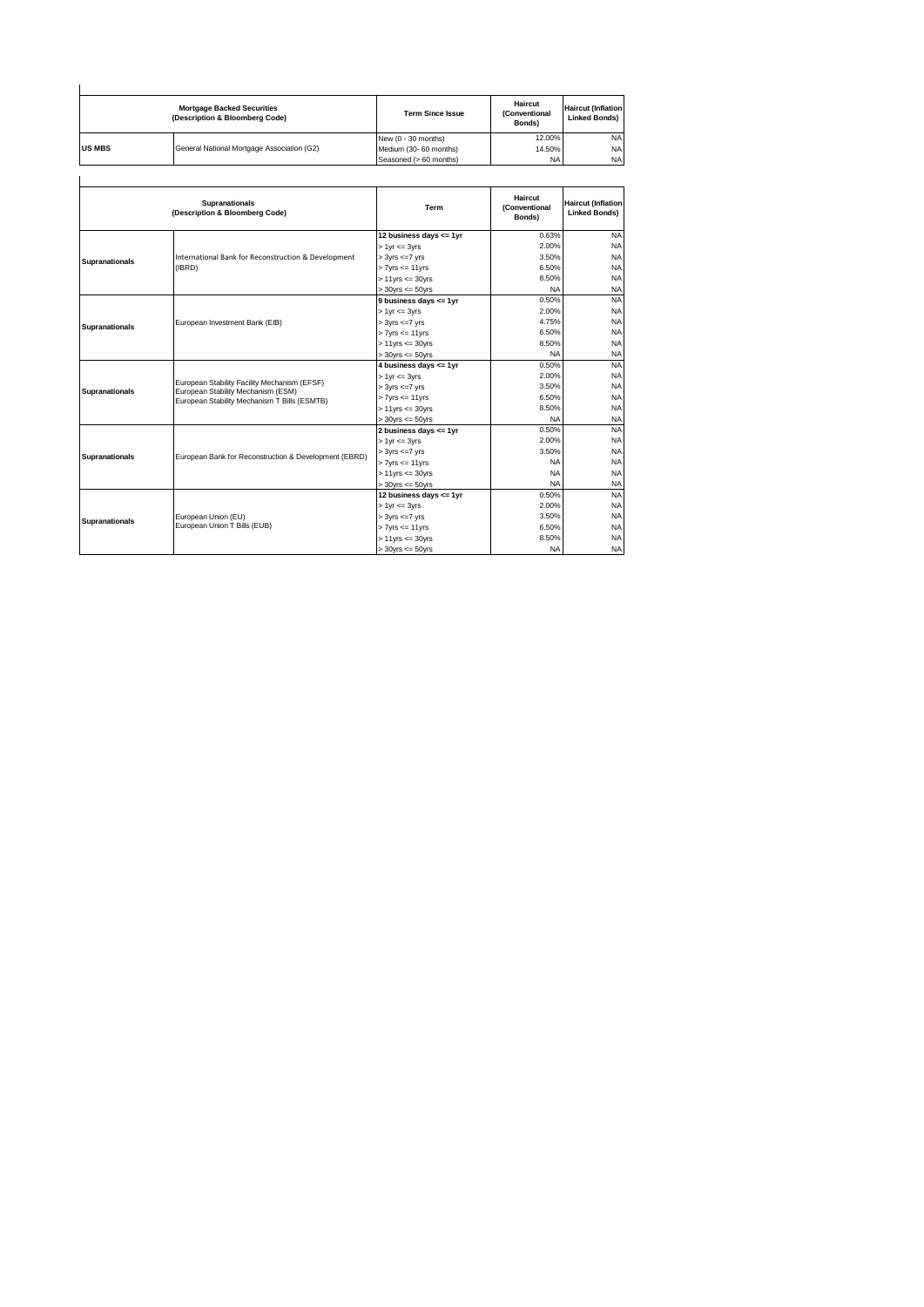|               | <b>Mortgage Backed Securities</b><br>(Description & Bloomberg Code) | <b>Term Since Issue</b>                       | <b>Haircut</b><br>(Conventional<br>Bonds) | <b>Haircut (Inflation</b><br><b>Linked Bonds)</b> |
|---------------|---------------------------------------------------------------------|-----------------------------------------------|-------------------------------------------|---------------------------------------------------|
| <b>US MBS</b> | General National Mortgage Association (G2)                          | New (0 - 30 months)<br>Medium (30- 60 months) | 12.00%<br>14.50%                          | NA.<br>NA.                                        |
|               |                                                                     | Seasoned (> 60 months)                        | <b>NA</b>                                 | <b>NAI</b>                                        |

|                       |                                                         | Seasoned (> bu months)      | <b>IVM</b>                         | <b>IVA</b>                                        |
|-----------------------|---------------------------------------------------------|-----------------------------|------------------------------------|---------------------------------------------------|
|                       |                                                         |                             |                                    |                                                   |
|                       | <b>Supranationals</b><br>(Description & Bloomberg Code) | Term                        | Haircut<br>(Conventional<br>Bonds) | <b>Haircut (Inflation</b><br><b>Linked Bonds)</b> |
|                       |                                                         | 12 business days <= 1yr     | 0.63%                              | <b>NA</b>                                         |
|                       |                                                         | $> 1$ yr $<= 3$ yrs         | 2.00%                              | <b>NA</b>                                         |
| <b>Supranationals</b> | International Bank for Reconstruction & Development     | $> 3yrs \le 7yrs$           | 3.50%                              | <b>NA</b>                                         |
|                       | (IBRD)                                                  | $> 7yrs \le 11yrs$          | 6.50%                              | <b>NA</b>                                         |
|                       |                                                         | $> 11$ vrs $\leq$ 30 vrs    | 8.50%                              | <b>NA</b>                                         |
|                       |                                                         | $> 30$ yrs $<= 50$ yrs      | <b>NA</b>                          | <b>NA</b>                                         |
|                       |                                                         | 9 business days <= 1yr      | 0.50%                              | <b>NA</b>                                         |
|                       | European Investment Bank (EIB)                          | $> 1$ yr $\leq$ 3yrs        | 2.00%                              | <b>NA</b>                                         |
| <b>Supranationals</b> |                                                         | $> 3yrs \le 7yrs$           | 4.75%                              | <b>NA</b>                                         |
|                       |                                                         | $> 7yrs \le 11yrs$          | 6.50%                              | <b>NA</b>                                         |
|                       |                                                         | $> 11$ yrs $<= 30$ yrs      | 8.50%                              | <b>NA</b>                                         |
|                       |                                                         | $>$ 30yrs $\leq$ 50yrs      | <b>NA</b>                          | <b>NA</b>                                         |
|                       | European Stability Facility Mechanism (EFSF)            | 4 business days $\leq 1$ yr | 0.50%                              | <b>NA</b>                                         |
|                       |                                                         | $> 1$ yr $<= 3$ yrs         | 2.00%                              | <b>NA</b>                                         |
| Supranationals        | European Stability Mechanism (ESM)                      | $> 3yrs \le 7yrs$           | 3.50%                              | <b>NA</b>                                         |
|                       | European Stability Mechanism T Bills (ESMTB)            | $> 7yrs \le 11yrs$          | 6.50%                              | <b>NA</b>                                         |
|                       |                                                         | $> 11$ yrs $<= 30$ yrs      | 8.50%                              | <b>NA</b>                                         |
|                       |                                                         | $> 30$ yrs $\leq 50$ yrs    | <b>NA</b>                          | <b>NA</b>                                         |
|                       |                                                         | 2 business days $\leq$ 1yr  | 0.50%                              | <b>NA</b>                                         |
|                       |                                                         | $> 1$ yr $<= 3$ yrs         | 2.00%                              | <b>NA</b>                                         |
| <b>Supranationals</b> | European Bank for Reconstruction & Development (EBRD)   | $> 3yrs \le 7yrs$           | 3.50%                              | <b>NA</b>                                         |
|                       |                                                         | $> 7yrs \leq 11yrs$         | <b>NA</b>                          | <b>NA</b>                                         |
|                       |                                                         | $> 11$ vrs $\leq$ 30 vrs    | <b>NA</b>                          | <b>NA</b>                                         |
|                       |                                                         | $> 30$ yrs $\leq 50$ yrs    | <b>NA</b>                          | <b>NA</b>                                         |
|                       |                                                         | 12 business days <= 1yr     | 0.50%                              | N <sub>A</sub>                                    |
|                       | European Union (EU)<br>European Union T Bills (EUB)     | $> 1$ yr $\leq$ 3yrs        | 2.00%                              | <b>NA</b>                                         |
| <b>Supranationals</b> |                                                         | $> 3yrs \leq 7yrs$          | 3.50%                              | <b>NA</b>                                         |
|                       |                                                         | $> 7yrs \leq 11yrs$         | 6.50%                              | <b>NA</b>                                         |
|                       |                                                         | $> 11$ yrs $<= 30$ yrs      | 8.50%                              | <b>NA</b>                                         |
|                       |                                                         | $>30$ vrs $\leq$ 50 vrs     | <b>NA</b>                          | <b>NA</b>                                         |